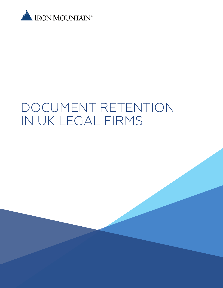

# DOCUMENT RETENTION IN UK LEGAL FIRMS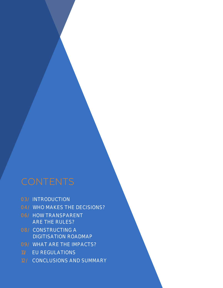### **CONTENTS**

- 03/ INTRODUCTION
- 04/ WHO MAKES THE DECISIONS?
- 06/ HOW TRANSPARENT ARE THE RULES?
- 08/ CONSTRUCTING A DIGITISATION ROADMAP
- 09/ WHAT ARE THE IMPACTS?
- 11/ EU REGULATIONS
- 12/ CONCLUSIONS AND SUMMARY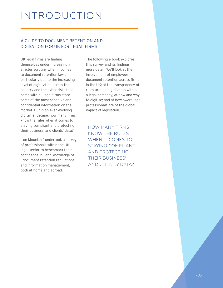## INTRODUCTION

#### A GUIDE TO DOCUMENT RETENTION AND DIGISATION FOR UK FOR LEGAL FIRMS

UK legal firms are finding themselves under increasingly stricter scrutiny when it comes to document retention laws, particularly due to the increasing level of digitisation across the country and the cyber risks that come with it. Legal firms store some of the most sensitive and confidential information on the market. But in an ever-evolving digital landscape, how many firms know the rules when it comes to staying compliant and protecting their business' and clients' data?

Iron Mountain<sup>1</sup> undertook a survey of professionals within the UK legal sector to benchmark their confidence in - and knowledge of - document retention regulations and information management, both at home and abroad.

The following e-book explores this survey and its findings in more detail. We'll look at the involvement of employees in document retention across firms in the UK; at the transparency of rules around digitisation within a legal company; at how and why to digitise; and at how aware legal professionals are of the global impact of legislation.

HOW MANY FIRMS KNOW THE RULES WHEN IT COMES TO STAYING COMPLIANT AND PROTECTING THEIR BUSINESS' AND CLIENTS' DATA?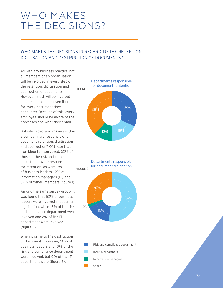## WHO MAKES THE DECISIONS? **Responsible for document reten on Responsible for document digitalisa on**

### WHO MAKES THE DECISIONS IN REGARD TO THE RETENTION, DIGITISATION AND DESTRUCTION OF DOCUMENTS?

As with any business practice, not all members of an organisation will be involved in every step of the retention, digitisation and destruction of documents. However, most will be involved in at least one step, even if not for every document they encounter. Because of this, every employee should be aware of the processes and what they entail. Other

But which decision-makers within a company are responsible for document retention, digitisation and destruction? Of those that Iron Mountain surveyed, 32% of those in the risk and compliance department were responsible for retention, as were 18% of business leaders, 12% of information managers (IT) and 32% of 'other' members (figure 1). FIGURE 2

Among the same survey group, it was found that 52% of business leaders were involved in document digitisation, while 16% of the risk and compliance department were involved and 2% of the IT department were involved. (figure 2)

When it came to the destruction of documents, however, 50% of business leaders and 10% of the risk and compliance department were involved, but 0% of the IT department were (figure 3).

#### Departments responsible for document rentention



#### Departments responsible for document digitisation



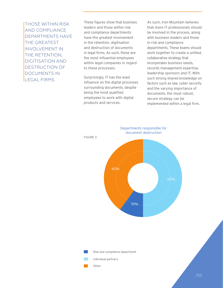THOSE WITHIN RISK AND COMPLIANCE DEPARTMENTS HAVE THE GREATEST INVOLVEMENT IN THE RETENTION, DIGITISATION AND DESTRUCTION OF DOCUMENTS IN LEGAL FIRMS

These figures show that business leaders and those within risk and compliance departments have the greatest involvement in the retention, digitisation and destruction of documents in legal firms. As such, these are the most influential employees within legal companies in regard to these processes.

Surprisingly, IT has the least influence on the digital processes surrounding documents, despite being the most qualified employees to work with digital products and services.

As such, Iron Mountain believes that more IT professionals should be involved in the process, along with business leaders and those in risk and compliance departments. These teams should work together to create a unified, collaborative strategy that incorporates business needs, records management expertise, leadership sponsors and IT. With such strong shared knowledge on factors such as law, cyber security and the varying importance of documents, the most robust, secure strategy can be implemented within a legal firm.

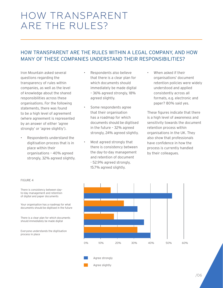## HOW TRANSPARENT ARE THE RULES?

### HOW TRANSPARENT ARE THE RULES WITHIN A LEGAL COMPANY, AND HOW MANY OF THESE COMPANIES UNDERSTAND THEIR RESPONSIBILITIES?

Iron Mountain asked several questions regarding the transparency of rules within companies, as well as the level of knowledge about the shared responsibilities across these organisations. For the following statements, there was found to be a high level of agreement (where agreement is represented by an answer of either 'agree strongly' or 'agree slightly').

• Respondents understand the digitisation process that is in place within their organisations – 40% agreed strongly, 32% agreed slightly.

- Respondents also believe that there is a clear plan for which documents should immediately be made digital – 36% agreed strongly, 18% agreed slightly.
- Some respondents agree that their organisation has a roadmap for which documents should be digitised in the future – 32% agreed strongly, 24% agreed slightly.
- Most agreed strongly that there is consistency between the day-to-day management and retention of document - 52.9% agreed strongly, 15.7% agreed slightly.

When asked if their organisations' document retention policies were widely understood and applied consistently across all formats, e.g. electronic and paper? 80% said yes.

These figures indicate that there is a high level of awareness and sensitivity towards the document retention process within organisations in the UK. They also show that professionals have confidence in how the process is currently handled by their colleagues.



FIGURE 4

Your organisation has a roadmap for what documents should be digitised in the future

There is a clear plan for which documents should immediately be made digital

Everyone understands the digitisation process in place



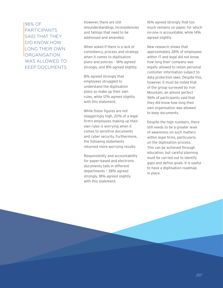96% OF PARTICIPANTS SAID THAT THEY DID KNOW HOW LONG THEIR OWN **ORGANISATION** WAS ALLOWED TO KEEP DOCUMENTS

However, there are still misunderstandings, inconsistencies and failings that need to be addressed and amended.

When asked if there is a lack of consistency, process and strategy when it comes to digitisation plans and policies – 18% agreed strongly, and 8% agreed slightly.

8% agreed strongly that employees struggled to understand the digitisation plans so make up their own rules, while 12% agreed slightly with this statement.

While these figures are not staggeringly high, 20% of a legal firm's employees making up their own rules is worrying when it comes to sensitive documents and cyber security. Furthermore, the following statements returned more worrying results:

Responsibility and accountability for paper-based and electronic documents falls in different departments – 38% agreed strongly, 18% agreed slightly with this statement.

16% agreed strongly that too much remains on paper, for which no-one is accountable, while 14% agreed slightly.

New research shows that approximately 28% of employees within IT and legal did not know how long their company was legally allowed to retain personal customer information subject to data protection laws. Despite this, however, it must be noted that of the group surveyed by Iron Mountain, an almost perfect 96% of participants said that they did know how long their own organisation was allowed to keep documents.

Despite the high numbers, there still needs to be a greater level of awareness on such matters within legal firms, particularly on the digitisation process. This can be achieved through education, but careful planning must be carried out to identify gaps and define goals. It is useful to have a digitisation roadmap in place.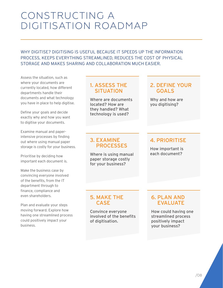### CONSTRUCTING A DIGITISATION ROADMAP

WHY DIGITISE? DIGITISING IS USEFUL BECAUSE IT SPEEDS UP THE INFORMATION PROCESS, KEEPS EVERYTHING STREAMLINED, REDUCES THE COST OF PHYSICAL STORAGE AND MAKES SHARING AND COLLABORATION MUCH EASIER.

Assess the situation, such as where your documents are currently located, how different departments handle their documents and what technology you have in place to help digitise.

Define your goals and decide exactly why and how you want to digitise your documents.

Examine manual and paperintensive processes by finding out where using manual paper storage is costly for your business.

Prioritise by deciding how important each document is.

Make the business case by convincing everyone involved of the benefits, from the IT department through to finance, compliance and even shareholders.

Plan and evaluate your steps moving forward. Explore how having one streamlined process could positively impact your business.

#### 1. ASSESS THE **SITUATION**

Where are documents located? How are they handled? What technology is used?

#### 2. DEFINE YOUR GOALS

Why and how are you digitising?

#### 3. EXAMINE PROCESSES

Where is using manual paper storage costly for your business?

### 4. PRIORITISE

How important is each document?

### 5. MAKE THE **CASE**

Convince everyone involved of the benefits of digitisation.

### 6. PLAN AND EVALUATE

How could having one streamlined process positively impact your business?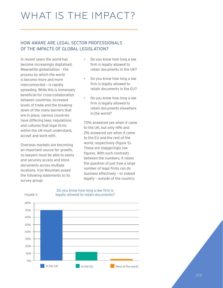#### HOW AWARE ARE LEGAL SECTOR PROFESSIONALS OF THE IMPACTS OF GLOBAL LEGISLATION?

In recent years the world has become increasingly digitalised. Meanwhile globalisation – the process by which the world is become more and more interconnected – is rapidly spreading. While this is immensely beneficial for cross-collaboration between countries, increased levels of trade and the breaking down of the many barriers that are in place, various countries have differing laws, regulations and cultures that legal firms within the UK must understand, accept and work with.

Overseas markets are becoming an important source for growth, so lawyers must be able to easily and securely access and store documents across multiple locations. Iron Mountain posed the following statements to its survey group:

FIGURE 5

- Do you know how long a law firm is legally allowed to retain documents in the UK?
- Do you know how long a law firm is legally allowed to retain documents in the EU?
- Do you know how long a law firm is legally allowed to retain documents elsewhere in the world?

70% answered yes when it came to the UK, but only 14% and 2% answered yes when it came to the EU and the rest of the world, respectively (figure 5). These are staggeringly low figures. With such contrasts between the numbers, it raises the question of just how a large number of legal firms can do business effectively – or indeed legally – outside of the country.



#### Do you know how long a law firm is legally allowed to retain documents?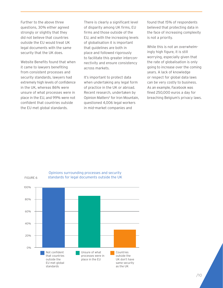Further to the above three questions, 30% either agreed strongly or slightly that they did not believe that countries outside the EU would treat UK legal documents with the same security that the UK does.

Website Benefits found that when it came to lawyers benefiting from consistent processes and security standards, lawyers had extremely high levels of confidence in the UK, whereas 86% were unsure of what processes were in place in the EU, and 99% were not confident that countries outside the EU met global standards.

There is clearly a significant level of disparity among UK firms, EU firms and those outside of the EU, and with the increasing levels of globalisation it is important that guidelines are both in place and followed rigorously to facilitate this greater interconnectivity and ensure consistency across markets.

It's important to protect data when undertaking any legal form of practice in the UK or abroad. Recent research, undertaken by Opinion Matters<sup>2</sup> for Iron Mountain, questioned 4,006 legal workers in mid-market companies and

found that 15% of respondents believed that protecting data in the face of increasing complexity is not a priority.

While this is not an overwhelmingly high figure, it is still worrying, especially given that the rate of globalisation is only going to increase over the coming years. A lack of knowledge or respect for global data laws can be very costly to business. As an example, Facebook was fined 250,000 euros a day for breaching Belgium's privacy laws.



#### Opinions surrounding processes and security standards for legal documents outside the UK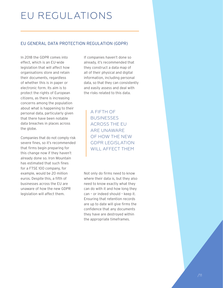## EU REGULATIONS

#### EU GENERAL DATA PROTECTION REGULATION (GDPR)

In 2018 the GDPR comes into effect, which is an EU-wide legislation that will affect how organisations store and retain their documents, regardless of whether this is in paper or electronic form. Its aim is to protect the rights of European citizens, as there is increasing concerns among the population about what is happening to their personal data, particularly given that there have been notable data breaches in places across the globe.

Companies that do not comply risk severe fines, so it's recommended that firms begin preparing for this change now if they haven't already done so. Iron Mountain has estimated that such fines for a FTSE 100 company, for example, would be 20 million euros. Despite this, a fifth of businesses across the EU are unaware of how the new GDPR legislation will affect them.

If companies haven't done so already, it's recommended that they construct a data map of all of their physical and digital information, including personal data, so that they can consistently and easily assess and deal with the risks related to this data.

> A FIFTH OF **BUSINESSES** ACROSS THE EU ARE UNAWARE OF HOW THE NEW GDPR LEGISLATION WILL AFFECT THEM

Not only do firms need to know where their data is, but they also need to know exactly what they can do with it and how long they can – or indeed should – keep it. Ensuring that retention records are up to date will give firms the confidence that any documents they have are destroyed within the appropriate timeframes.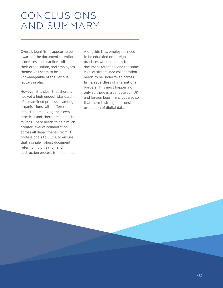### CONCLUSIONS AND SUMMARY

Overall, legal firms appear to be aware of the document retention processes and practices within their organisation, and employees themselves seem to be knowledgeable of the various factors in play.

However, it is clear that there is not yet a high enough standard of streamlined processes among organisations, with different departments having their own practices and, therefore, potential failings. There needs to be a much greater level of collaboration across all departments, from IT professionals to CEOs, to ensure that a single, robust document retention, digitisation and destruction process is maintained. Alongside this, employees need to be educated on foreign practices when it comes to document retention, and the same level of streamlined collaboration needs to be undertaken across firms, regardless of international borders. This must happen not only so there is trust between UK and foreign legal firms, but also so that there is strong and consistent protection of digital data.